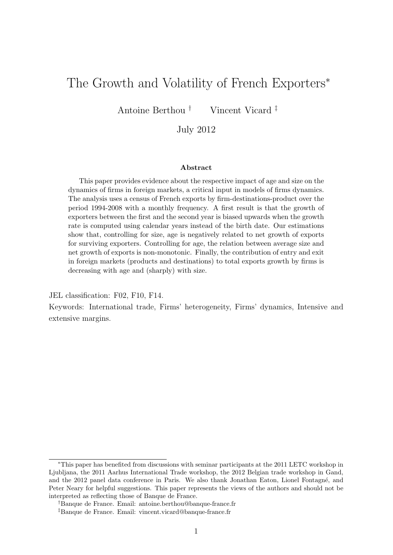## The Growth and Volatility of French Exporters<sup>\*</sup>

Antoine Berthou † Vincent Vicard ‡

#### July 2012

#### Abstract

This paper provides evidence about the respective impact of age and size on the dynamics of firms in foreign markets, a critical input in models of firms dynamics. The analysis uses a census of French exports by firm-destinations-product over the period 1994-2008 with a monthly frequency. A first result is that the growth of exporters between the first and the second year is biased upwards when the growth rate is computed using calendar years instead of the birth date. Our estimations show that, controlling for size, age is negatively related to net growth of exports for surviving exporters. Controlling for age, the relation between average size and net growth of exports is non-monotonic. Finally, the contribution of entry and exit in foreign markets (products and destinations) to total exports growth by firms is decreasing with age and (sharply) with size.

JEL classification: F02, F10, F14.

Keywords: International trade, Firms' heterogeneity, Firms' dynamics, Intensive and extensive margins.

<sup>∗</sup>This paper has benefited from discussions with seminar participants at the 2011 LETC workshop in Ljubljana, the 2011 Aarhus International Trade workshop, the 2012 Belgian trade workshop in Gand, and the 2012 panel data conference in Paris. We also thank Jonathan Eaton, Lionel Fontagné, and Peter Neary for helpful suggestions. This paper represents the views of the authors and should not be interpreted as reflecting those of Banque de France.

<sup>†</sup>Banque de France. Email: antoine.berthou@banque-france.fr

<sup>‡</sup>Banque de France. Email: vincent.vicard@banque-france.fr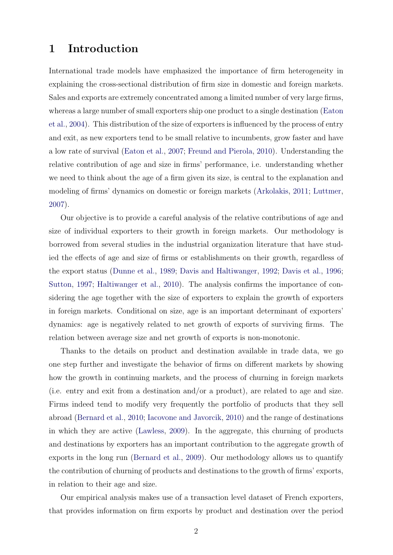### 1 Introduction

International trade models have emphasized the importance of firm heterogeneity in explaining the cross-sectional distribution of firm size in domestic and foreign markets. Sales and exports are extremely concentrated among a limited number of very large firms, whereas a large number of small exporters ship one product to a single destination [\(Eaton](#page-21-0) [et al.,](#page-21-0) [2004\)](#page-21-0). This distribution of the size of exporters is influenced by the process of entry and exit, as new exporters tend to be small relative to incumbents, grow faster and have a low rate of survival [\(Eaton et al.,](#page-21-1) [2007;](#page-21-1) [Freund and Pierola,](#page-21-2) [2010\)](#page-21-2). Understanding the relative contribution of age and size in firms' performance, i.e. understanding whether we need to think about the age of a firm given its size, is central to the explanation and modeling of firms' dynamics on domestic or foreign markets [\(Arkolakis,](#page-21-3) [2011;](#page-21-3) [Luttmer,](#page-22-0) [2007\)](#page-22-0).

Our objective is to provide a careful analysis of the relative contributions of age and size of individual exporters to their growth in foreign markets. Our methodology is borrowed from several studies in the industrial organization literature that have studied the effects of age and size of firms or establishments on their growth, regardless of the export status [\(Dunne et al.,](#page-21-4) [1989;](#page-21-4) [Davis and Haltiwanger,](#page-21-5) [1992;](#page-21-5) [Davis et al.,](#page-21-6) [1996;](#page-21-6) [Sutton,](#page-22-1) [1997;](#page-22-1) [Haltiwanger et al.,](#page-22-2) [2010\)](#page-22-2). The analysis confirms the importance of considering the age together with the size of exporters to explain the growth of exporters in foreign markets. Conditional on size, age is an important determinant of exporters' dynamics: age is negatively related to net growth of exports of surviving firms. The relation between average size and net growth of exports is non-monotonic.

Thanks to the details on product and destination available in trade data, we go one step further and investigate the behavior of firms on different markets by showing how the growth in continuing markets, and the process of churning in foreign markets (i.e. entry and exit from a destination and/or a product), are related to age and size. Firms indeed tend to modify very frequently the portfolio of products that they sell abroad [\(Bernard et al.,](#page-21-7) [2010;](#page-21-7) [Iacovone and Javorcik,](#page-22-3) [2010\)](#page-22-3) and the range of destinations in which they are active [\(Lawless,](#page-22-4) [2009\)](#page-22-4). In the aggregate, this churning of products and destinations by exporters has an important contribution to the aggregate growth of exports in the long run [\(Bernard et al.,](#page-21-8) [2009\)](#page-21-8). Our methodology allows us to quantify the contribution of churning of products and destinations to the growth of firms' exports, in relation to their age and size.

Our empirical analysis makes use of a transaction level dataset of French exporters, that provides information on firm exports by product and destination over the period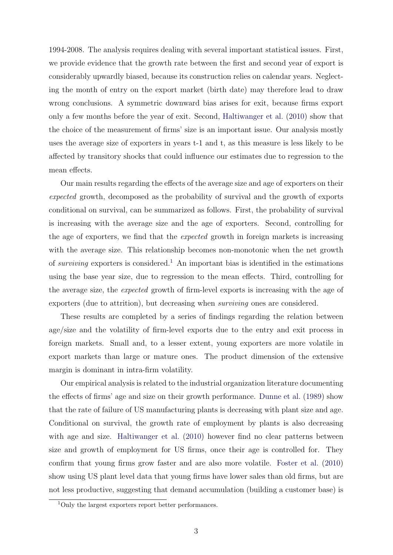1994-2008. The analysis requires dealing with several important statistical issues. First, we provide evidence that the growth rate between the first and second year of export is considerably upwardly biased, because its construction relies on calendar years. Neglecting the month of entry on the export market (birth date) may therefore lead to draw wrong conclusions. A symmetric downward bias arises for exit, because firms export only a few months before the year of exit. Second, [Haltiwanger et al.](#page-22-2) [\(2010\)](#page-22-2) show that the choice of the measurement of firms' size is an important issue. Our analysis mostly uses the average size of exporters in years t-1 and t, as this measure is less likely to be affected by transitory shocks that could influence our estimates due to regression to the mean effects.

Our main results regarding the effects of the average size and age of exporters on their expected growth, decomposed as the probability of survival and the growth of exports conditional on survival, can be summarized as follows. First, the probability of survival is increasing with the average size and the age of exporters. Second, controlling for the age of exporters, we find that the expected growth in foreign markets is increasing with the average size. This relationship becomes non-monotonic when the net growth of *surviving* exporters is considered.<sup>[1](#page-2-0)</sup> An important bias is identified in the estimations using the base year size, due to regression to the mean effects. Third, controlling for the average size, the expected growth of firm-level exports is increasing with the age of exporters (due to attrition), but decreasing when surviving ones are considered.

These results are completed by a series of findings regarding the relation between age/size and the volatility of firm-level exports due to the entry and exit process in foreign markets. Small and, to a lesser extent, young exporters are more volatile in export markets than large or mature ones. The product dimension of the extensive margin is dominant in intra-firm volatility.

Our empirical analysis is related to the industrial organization literature documenting the effects of firms' age and size on their growth performance. [Dunne et al.](#page-21-4) [\(1989\)](#page-21-4) show that the rate of failure of US manufacturing plants is decreasing with plant size and age. Conditional on survival, the growth rate of employment by plants is also decreasing with age and size. [Haltiwanger et al.](#page-22-2) [\(2010\)](#page-22-2) however find no clear patterns between size and growth of employment for US firms, once their age is controlled for. They confirm that young firms grow faster and are also more volatile. [Foster et al.](#page-21-9) [\(2010\)](#page-21-9) show using US plant level data that young firms have lower sales than old firms, but are not less productive, suggesting that demand accumulation (building a customer base) is

<span id="page-2-0"></span><sup>1</sup>Only the largest exporters report better performances.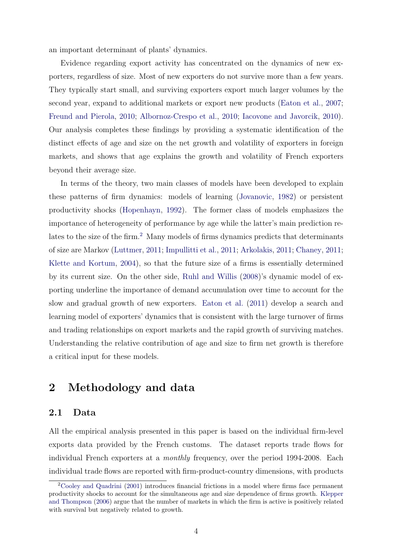an important determinant of plants' dynamics.

Evidence regarding export activity has concentrated on the dynamics of new exporters, regardless of size. Most of new exporters do not survive more than a few years. They typically start small, and surviving exporters export much larger volumes by the second year, expand to additional markets or export new products [\(Eaton et al.,](#page-21-1) [2007;](#page-21-1) [Freund and Pierola,](#page-21-2) [2010;](#page-21-2) [Albornoz-Crespo et al.,](#page-21-10) [2010;](#page-21-10) [Iacovone and Javorcik,](#page-22-3) [2010\)](#page-22-3). Our analysis completes these findings by providing a systematic identification of the distinct effects of age and size on the net growth and volatility of exporters in foreign markets, and shows that age explains the growth and volatility of French exporters beyond their average size.

In terms of the theory, two main classes of models have been developed to explain these patterns of firm dynamics: models of learning [\(Jovanovic,](#page-22-5) [1982\)](#page-22-5) or persistent productivity shocks [\(Hopenhayn,](#page-22-6) [1992\)](#page-22-6). The former class of models emphasizes the importance of heterogeneity of performance by age while the latter's main prediction re-lates to the size of the firm.<sup>[2](#page-3-0)</sup> Many models of firms dynamics predicts that determinants of size are Markov [\(Luttmer,](#page-22-7) [2011;](#page-22-7) [Impullitti et al.,](#page-22-8) [2011;](#page-22-8) [Arkolakis,](#page-21-3) [2011;](#page-21-3) [Chaney,](#page-21-11) [2011;](#page-21-11) [Klette and Kortum,](#page-22-9) [2004\)](#page-22-9), so that the future size of a firms is essentially determined by its current size. On the other side, [Ruhl and Willis](#page-22-10) [\(2008\)](#page-22-10)'s dynamic model of exporting underline the importance of demand accumulation over time to account for the slow and gradual growth of new exporters. [Eaton et al.](#page-21-12) [\(2011\)](#page-21-12) develop a search and learning model of exporters' dynamics that is consistent with the large turnover of firms and trading relationships on export markets and the rapid growth of surviving matches. Understanding the relative contribution of age and size to firm net growth is therefore a critical input for these models.

### 2 Methodology and data

#### 2.1 Data

All the empirical analysis presented in this paper is based on the individual firm-level exports data provided by the French customs. The dataset reports trade flows for individual French exporters at a monthly frequency, over the period 1994-2008. Each individual trade flows are reported with firm-product-country dimensions, with products

<span id="page-3-0"></span><sup>2</sup>[Cooley and Quadrini](#page-21-13) [\(2001\)](#page-21-13) introduces financial frictions in a model where firms face permanent productivity shocks to account for the simultaneous age and size dependence of firms growth. [Klepper](#page-22-11) [and Thompson](#page-22-11) [\(2006\)](#page-22-11) argue that the number of markets in which the firm is active is positively related with survival but negatively related to growth.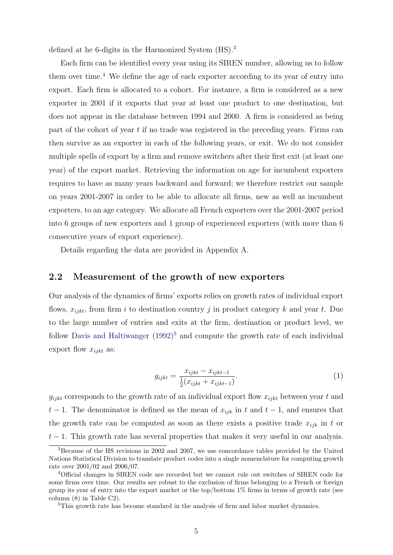defined at he 6-digits in the Harmonized System (HS).[3](#page-4-0)

Each firm can be identified every year using its SIREN number, allowing us to follow them over time.<sup>[4](#page-4-1)</sup> We define the age of each exporter according to its year of entry into export. Each firm is allocated to a cohort. For instance, a firm is considered as a new exporter in 2001 if it exports that year at least one product to one destination, but does not appear in the database between 1994 and 2000. A firm is considered as being part of the cohort of year  $t$  if no trade was registered in the preceding years. Firms can then survive as an exporter in each of the following years, or exit. We do not consider multiple spells of export by a firm and remove switchers after their first exit (at least one year) of the export market. Retrieving the information on age for incumbent exporters requires to have as many years backward and forward; we therefore restrict our sample on years 2001-2007 in order to be able to allocate all firms, new as well as incumbent exporters, to an age category. We allocate all French exporters over the 2001-2007 period into 6 groups of new exporters and 1 group of experienced exporters (with more than 6 consecutive years of export experience).

Details regarding the data are provided in Appendix A.

#### 2.2 Measurement of the growth of new exporters

Our analysis of the dynamics of firms' exports relies on growth rates of individual export flows,  $x_{ijkt}$ , from firm i to destination country j in product category k and year t. Due to the large number of entries and exits at the firm, destination or product level, we follow [Davis and Haltiwanger](#page-21-5) [\(1992\)](#page-21-5) [5](#page-4-2) and compute the growth rate of each individual export flow  $x_{i jkt}$  as:

$$
g_{ijkt} = \frac{x_{ijkt} - x_{ijkt-1}}{\frac{1}{2}(x_{ijkt} + x_{ijkt-1})}.
$$
 (1)

 $g_{i j k t}$  corresponds to the growth rate of an individual export flow  $x_{i j k t}$  between year t and  $t-1$ . The denominator is defined as the mean of  $x_{ijk}$  in t and  $t-1$ , and ensures that the growth rate can be computed as soon as there exists a positive trade  $x_{ijk}$  in t or  $t-1$ . This growth rate has several properties that makes it very useful in our analysis.

<span id="page-4-0"></span><sup>3</sup>Because of the HS revisions in 2002 and 2007, we use concordance tables provided by the United Nations Statistical Division to translate product codes into a single nomenclature for computing growth rate over 2001/02 and 2006/07.

<span id="page-4-1"></span><sup>4</sup>Official changes in SIREN code are recorded but we cannot rule out switches of SIREN code for some firms over time. Our results are robust to the exclusion of firms belonging to a French or foreign group its year of entry into the export market or the top/bottom 1% firms in terms of growth rate (see column (8) in Table C2).

<span id="page-4-2"></span><sup>5</sup>This growth rate has become standard in the analysis of firm and labor market dynamics.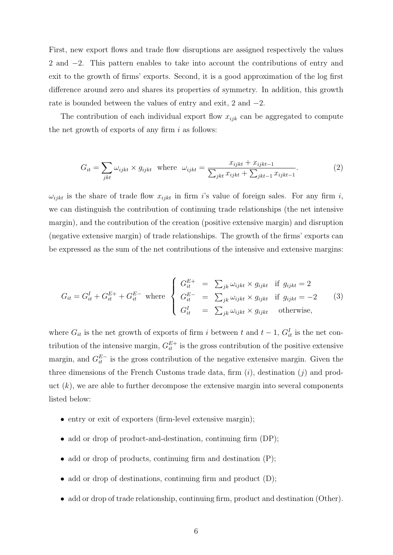First, new export flows and trade flow disruptions are assigned respectively the values 2 and −2. This pattern enables to take into account the contributions of entry and exit to the growth of firms' exports. Second, it is a good approximation of the log first difference around zero and shares its properties of symmetry. In addition, this growth rate is bounded between the values of entry and exit, 2 and −2.

The contribution of each individual export flow  $x_{ijk}$  can be aggregated to compute the net growth of exports of any firm  $i$  as follows:

$$
G_{it} = \sum_{jkt} \omega_{ijkt} \times g_{ijkt} \text{ where } \omega_{ijkt} = \frac{x_{ijkt} + x_{ijkt-1}}{\sum_{jkt} x_{ijkt} + \sum_{jkt-1} x_{ijkt-1}}.
$$
 (2)

 $\omega_{i j k t}$  is the share of trade flow  $x_{i j k t}$  in firm is value of foreign sales. For any firm i, we can distinguish the contribution of continuing trade relationships (the net intensive margin), and the contribution of the creation (positive extensive margin) and disruption (negative extensive margin) of trade relationships. The growth of the firms' exports can be expressed as the sum of the net contributions of the intensive and extensive margins:

<span id="page-5-0"></span>
$$
G_{it} = G_{it}^I + G_{it}^{E+} + G_{it}^{E-} \text{ where }\begin{cases} G_{it}^{E+} = \sum_{jk} \omega_{ijkt} \times g_{ijkt} & \text{if } g_{ijkt} = 2\\ G_{it}^{E-} = \sum_{jk} \omega_{ijkt} \times g_{ijkt} & \text{if } g_{ijkt} = -2\\ G_{it}^I = \sum_{jk} \omega_{ijkt} \times g_{ijkt} & \text{otherwise,} \end{cases}
$$
(3)

where  $G_{it}$  is the net growth of exports of firm i between t and  $t-1$ ,  $G_{it}^I$  is the net contribution of the intensive margin,  $G_{it}^{E+}$  is the gross contribution of the positive extensive margin, and  $G_{it}^{E-}$  is the gross contribution of the negative extensive margin. Given the three dimensions of the French Customs trade data, firm  $(i)$ , destination  $(j)$  and product  $(k)$ , we are able to further decompose the extensive margin into several components listed below:

- entry or exit of exporters (firm-level extensive margin);
- add or drop of product-and-destination, continuing firm (DP);
- add or drop of products, continuing firm and destination (P);
- add or drop of destinations, continuing firm and product (D);
- add or drop of trade relationship, continuing firm, product and destination (Other).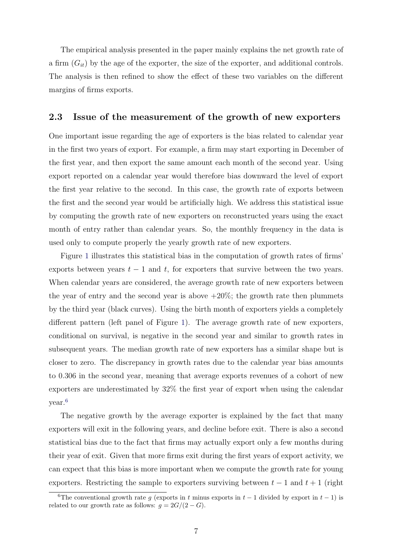The empirical analysis presented in the paper mainly explains the net growth rate of a firm  $(G_{it})$  by the age of the exporter, the size of the exporter, and additional controls. The analysis is then refined to show the effect of these two variables on the different margins of firms exports.

#### 2.3 Issue of the measurement of the growth of new exporters

One important issue regarding the age of exporters is the bias related to calendar year in the first two years of export. For example, a firm may start exporting in December of the first year, and then export the same amount each month of the second year. Using export reported on a calendar year would therefore bias downward the level of export the first year relative to the second. In this case, the growth rate of exports between the first and the second year would be artificially high. We address this statistical issue by computing the growth rate of new exporters on reconstructed years using the exact month of entry rather than calendar years. So, the monthly frequency in the data is used only to compute properly the yearly growth rate of new exporters.

Figure [1](#page-7-0) illustrates this statistical bias in the computation of growth rates of firms' exports between years  $t - 1$  and  $t$ , for exporters that survive between the two years. When calendar years are considered, the average growth rate of new exporters between the year of entry and the second year is above  $+20\%$ ; the growth rate then plummets by the third year (black curves). Using the birth month of exporters yields a completely different pattern (left panel of Figure [1\)](#page-7-0). The average growth rate of new exporters, conditional on survival, is negative in the second year and similar to growth rates in subsequent years. The median growth rate of new exporters has a similar shape but is closer to zero. The discrepancy in growth rates due to the calendar year bias amounts to 0.306 in the second year, meaning that average exports revenues of a cohort of new exporters are underestimated by 32% the first year of export when using the calendar year.[6](#page-6-0)

The negative growth by the average exporter is explained by the fact that many exporters will exit in the following years, and decline before exit. There is also a second statistical bias due to the fact that firms may actually export only a few months during their year of exit. Given that more firms exit during the first years of export activity, we can expect that this bias is more important when we compute the growth rate for young exporters. Restricting the sample to exporters surviving between  $t-1$  and  $t+1$  (right

<span id="page-6-0"></span><sup>&</sup>lt;sup>6</sup>The conventional growth rate g (exports in t minus exports in t – 1 divided by export in t – 1) is related to our growth rate as follows:  $q = 2G/(2 - G)$ .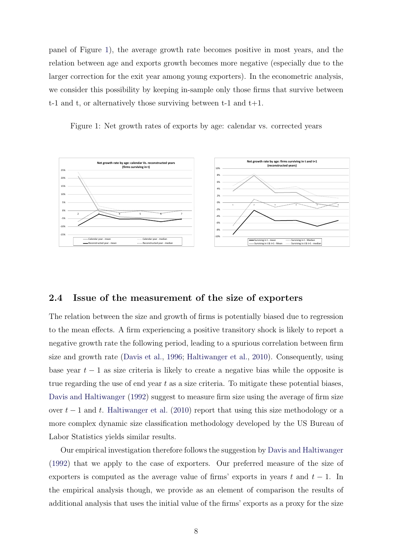panel of Figure [1\)](#page-7-0), the average growth rate becomes positive in most years, and the relation between age and exports growth becomes more negative (especially due to the larger correction for the exit year among young exporters). In the econometric analysis, we consider this possibility by keeping in-sample only those firms that survive between t-1 and t, or alternatively those surviving between t-1 and  $t+1$ .

<span id="page-7-0"></span>Figure 1: Net growth rates of exports by age: calendar vs. corrected years



#### 2.4 Issue of the measurement of the size of exporters

The relation between the size and growth of firms is potentially biased due to regression to the mean effects. A firm experiencing a positive transitory shock is likely to report a negative growth rate the following period, leading to a spurious correlation between firm size and growth rate [\(Davis et al.,](#page-21-6) [1996;](#page-21-6) [Haltiwanger et al.,](#page-22-2) [2010\)](#page-22-2). Consequently, using base year  $t - 1$  as size criteria is likely to create a negative bias while the opposite is true regarding the use of end year  $t$  as a size criteria. To mitigate these potential biases, [Davis and Haltiwanger](#page-21-5) [\(1992\)](#page-21-5) suggest to measure firm size using the average of firm size over  $t-1$  and t. [Haltiwanger et al.](#page-22-2) [\(2010\)](#page-22-2) report that using this size methodology or a more complex dynamic size classification methodology developed by the US Bureau of Labor Statistics yields similar results.

Our empirical investigation therefore follows the suggestion by [Davis and Haltiwanger](#page-21-5) [\(1992\)](#page-21-5) that we apply to the case of exporters. Our preferred measure of the size of exporters is computed as the average value of firms' exports in years t and  $t - 1$ . In the empirical analysis though, we provide as an element of comparison the results of additional analysis that uses the initial value of the firms' exports as a proxy for the size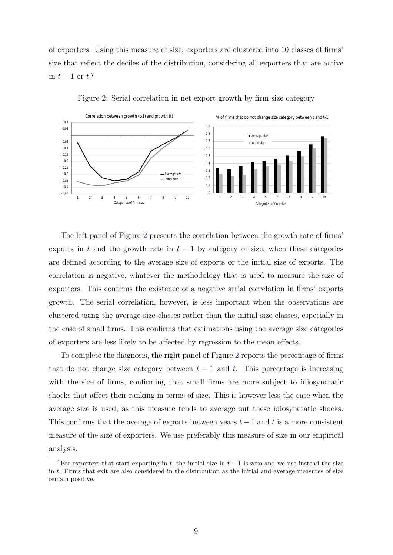of exporters. Using this measure of size, exporters are clustered into 10 classes of firms' size that reflect the deciles of the distribution, considering all exporters that are active in  $t-1$  or  $t$ <sup>[7](#page-8-0)</sup>



<span id="page-8-1"></span>Figure 2: Serial correlation in net export growth by firm size category

The left panel of Figure [2](#page-8-1) presents the correlation between the growth rate of firms' exports in t and the growth rate in  $t - 1$  by category of size, when these categories are defined according to the average size of exports or the initial size of exports. The correlation is negative, whatever the methodology that is used to measure the size of exporters. This confirms the existence of a negative serial correlation in firms' exports growth. The serial correlation, however, is less important when the observations are clustered using the average size classes rather than the initial size classes, especially in the case of small firms. This confirms that estimations using the average size categories of exporters are less likely to be affected by regression to the mean effects.

To complete the diagnosis, the right panel of Figure [2](#page-8-1) reports the percentage of firms that do not change size category between  $t - 1$  and t. This percentage is increasing with the size of firms, confirming that small firms are more subject to idiosyncratic shocks that affect their ranking in terms of size. This is however less the case when the average size is used, as this measure tends to average out these idiosyncratic shocks. This confirms that the average of exports between years  $t-1$  and t is a more consistent measure of the size of exporters. We use preferably this measure of size in our empirical analysis.

<span id="page-8-0"></span><sup>&</sup>lt;sup>7</sup>For exporters that start exporting in t, the initial size in  $t - 1$  is zero and we use instead the size in t. Firms that exit are also considered in the distribution as the initial and average measures of size remain positive.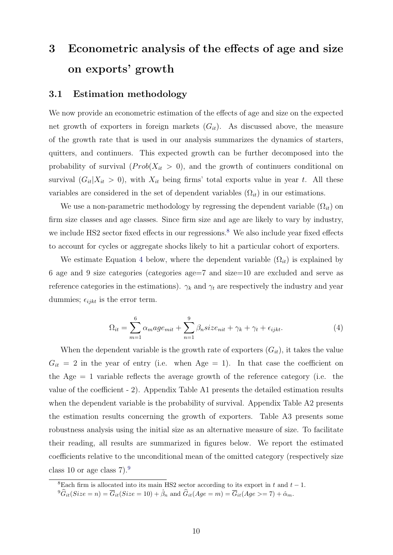# 3 Econometric analysis of the effects of age and size on exports' growth

#### 3.1 Estimation methodology

We now provide an econometric estimation of the effects of age and size on the expected net growth of exporters in foreign markets  $(G_{it})$ . As discussed above, the measure of the growth rate that is used in our analysis summarizes the dynamics of starters, quitters, and continuers. This expected growth can be further decomposed into the probability of survival  $(Prob(X_{it} > 0)$ , and the growth of continuers conditional on survival  $(G_{it}|X_{it} > 0)$ , with  $X_{it}$  being firms' total exports value in year t. All these variables are considered in the set of dependent variables  $(\Omega_{it})$  in our estimations.

We use a non-parametric methodology by regressing the dependent variable  $(\Omega_{it})$  on firm size classes and age classes. Since firm size and age are likely to vary by industry, we include HS2 sector fixed effects in our regressions.<sup>[8](#page-9-0)</sup> We also include year fixed effects to account for cycles or aggregate shocks likely to hit a particular cohort of exporters.

We estimate Equation [4](#page-9-1) below, where the dependent variable  $(\Omega_{it})$  is explained by 6 age and 9 size categories (categories age=7 and size=10 are excluded and serve as reference categories in the estimations).  $\gamma_k$  and  $\gamma_t$  are respectively the industry and year dummies;  $\epsilon_{ijkt}$  is the error term.

<span id="page-9-1"></span>
$$
\Omega_{it} = \sum_{m=1}^{6} \alpha_m a g e_{mit} + \sum_{n=1}^{9} \beta_n s i z e_{nit} + \gamma_k + \gamma_t + \epsilon_{ijkt}.
$$
\n(4)

When the dependent variable is the growth rate of exporters  $(G_{it})$ , it takes the value  $G_{it} = 2$  in the year of entry (i.e. when Age = 1). In that case the coefficient on the Age  $= 1$  variable reflects the average growth of the reference category (i.e. the value of the coefficient - 2). Appendix Table A1 presents the detailed estimation results when the dependent variable is the probability of survival. Appendix Table A2 presents the estimation results concerning the growth of exporters. Table A3 presents some robustness analysis using the initial size as an alternative measure of size. To facilitate their reading, all results are summarized in figures below. We report the estimated coefficients relative to the unconditional mean of the omitted category (respectively size class 10 or age class  $7$ ).<sup>[9](#page-9-2)</sup>

<span id="page-9-0"></span><sup>&</sup>lt;sup>8</sup>Each firm is allocated into its main HS2 sector according to its export in t and  $t - 1$ .

<span id="page-9-2"></span> ${}^{9}\widehat{G}_{it}(Size = n) = \overline{G}_{it}(Size = 10) + \widehat{\beta}_n$  and  $\widehat{G}_{it}(Age = m) = \overline{G}_{it}(Age > = 7) + \widehat{\alpha}_m$ .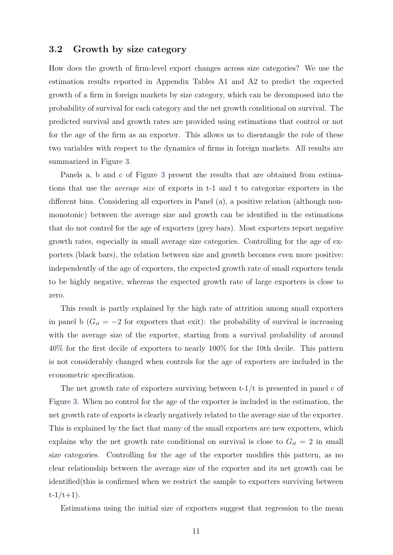#### 3.2 Growth by size category

How does the growth of firm-level export changes across size categories? We use the estimation results reported in Appendix Tables A1 and A2 to predict the expected growth of a firm in foreign markets by size category, which can be decomposed into the probability of survival for each category and the net growth conditional on survival. The predicted survival and growth rates are provided using estimations that control or not for the age of the firm as an exporter. This allows us to disentangle the role of these two variables with respect to the dynamics of firms in foreign markets. All results are summarized in Figure [3.](#page-11-0)

Panels a, b and c of Figure [3](#page-11-0) present the results that are obtained from estimations that use the average size of exports in t-1 and t to categorize exporters in the different bins. Considering all exporters in Panel (a), a positive relation (although nonmonotonic) between the average size and growth can be identified in the estimations that do not control for the age of exporters (grey bars). Most exporters report negative growth rates, especially in small average size categories. Controlling for the age of exporters (black bars), the relation between size and growth becomes even more positive: independently of the age of exporters, the expected growth rate of small exporters tends to be highly negative, whereas the expected growth rate of large exporters is close to zero.

This result is partly explained by the high rate of attrition among small exporters in panel b ( $G_{it} = -2$  for exporters that exit): the probability of survival is increasing with the average size of the exporter, starting from a survival probability of around 40% for the first decile of exporters to nearly 100% for the 10th decile. This pattern is not considerably changed when controls for the age of exporters are included in the econometric specification.

The net growth rate of exporters surviving between  $t-1/t$  is presented in panel c of Figure [3.](#page-11-0) When no control for the age of the exporter is included in the estimation, the net growth rate of exports is clearly negatively related to the average size of the exporter. This is explained by the fact that many of the small exporters are new exporters, which explains why the net growth rate conditional on survival is close to  $G_{it} = 2$  in small size categories. Controlling for the age of the exporter modifies this pattern, as no clear relationship between the average size of the exporter and its net growth can be identified(this is confirmed when we restrict the sample to exporters surviving between  $t-1/t+1$ ).

Estimations using the initial size of exporters suggest that regression to the mean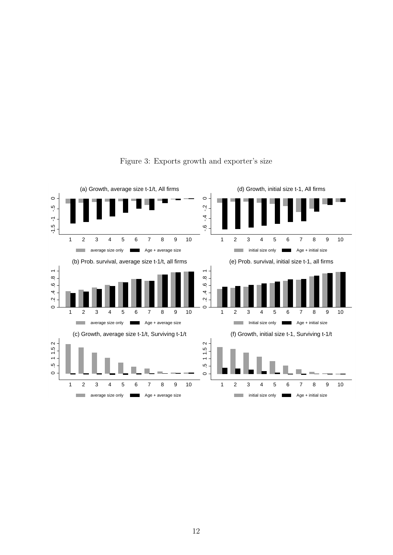

#### <span id="page-11-0"></span>Figure 3: Exports growth and exporter's size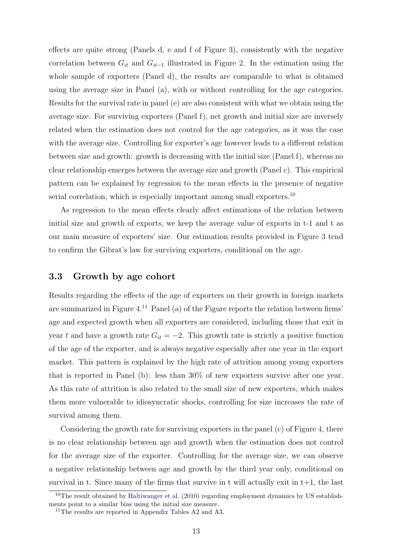effects are quite strong (Panels d, e and f of Figure [3\)](#page-11-0), consistently with the negative correlation between  $G_{it}$  and  $G_{it-1}$  illustrated in Figure [2.](#page-8-1) In the estimation using the whole sample of exporters (Panel d), the results are comparable to what is obtained using the average size in Panel (a), with or without controlling for the age categories. Results for the survival rate in panel (e) are also consistent with what we obtain using the average size. For surviving exporters (Panel f), net growth and initial size are inversely related when the estimation does not control for the age categories, as it was the case with the average size. Controlling for exporter's age however leads to a different relation between size and growth: growth is decreasing with the initial size (Panel f), whereas no clear relationship emerges between the average size and growth (Panel c). This empirical pattern can be explained by regression to the mean effects in the presence of negative serial correlation, which is especially important among small exporters.<sup>[10](#page-12-0)</sup>

As regression to the mean effects clearly affect estimations of the relation between initial size and growth of exports, we keep the average value of exports in t-1 and t as our main measure of exporters' size. Our estimation results provided in Figure [3](#page-11-0) tend to confirm the Gibrat's law for surviving exporters, conditional on the age.

#### 3.3 Growth by age cohort

Results regarding the effects of the age of exporters on their growth in foreign markets are summarized in Figure [4.](#page-13-0) [11](#page-12-1) Panel (a) of the Figure reports the relation between firms' age and expected growth when all exporters are considered, including those that exit in year t and have a growth rate  $G_{it} = -2$ . This growth rate is strictly a positive function of the age of the exporter, and is always negative especially after one year in the export market. This pattern is explained by the high rate of attrition among young exporters that is reported in Panel (b): less than 30% of new exporters survive after one year. As this rate of attrition is also related to the small size of new exporters, which makes them more vulnerable to idiosyncratic shocks, controlling for size increases the rate of survival among them.

Considering the growth rate for surviving exporters in the panel (c) of Figure [4,](#page-13-0) there is no clear relationship between age and growth when the estimation does not control for the average size of the exporter. Controlling for the average size, we can observe a negative relationship between age and growth by the third year only, conditional on survival in t. Since many of the firms that survive in t will actually exit in  $t+1$ , the last

<span id="page-12-0"></span><sup>&</sup>lt;sup>10</sup>The result obtained by [Haltiwanger et al.](#page-22-2) [\(2010\)](#page-22-2) regarding employment dynamics by US establishments point to a similar bias using the initial size measure.

<span id="page-12-1"></span><sup>&</sup>lt;sup>11</sup>The results are reported in Appendix Tables A2 and A3.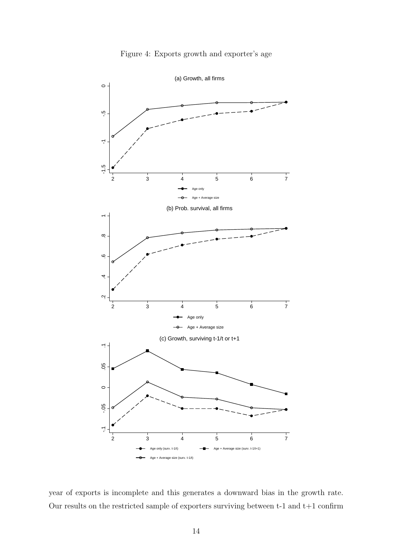

<span id="page-13-0"></span>Figure 4: Exports growth and exporter's age

year of exports is incomplete and this generates a downward bias in the growth rate. Our results on the restricted sample of exporters surviving between  $t-1$  and  $t+1$  confirm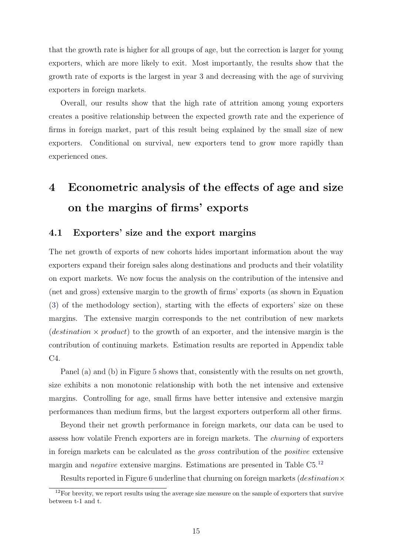that the growth rate is higher for all groups of age, but the correction is larger for young exporters, which are more likely to exit. Most importantly, the results show that the growth rate of exports is the largest in year 3 and decreasing with the age of surviving exporters in foreign markets.

Overall, our results show that the high rate of attrition among young exporters creates a positive relationship between the expected growth rate and the experience of firms in foreign market, part of this result being explained by the small size of new exporters. Conditional on survival, new exporters tend to grow more rapidly than experienced ones.

# 4 Econometric analysis of the effects of age and size on the margins of firms' exports

#### 4.1 Exporters' size and the export margins

The net growth of exports of new cohorts hides important information about the way exporters expand their foreign sales along destinations and products and their volatility on export markets. We now focus the analysis on the contribution of the intensive and (net and gross) extensive margin to the growth of firms' exports (as shown in Equation [\(3\)](#page-5-0) of the methodology section), starting with the effects of exporters' size on these margins. The extensive margin corresponds to the net contribution of new markets (destination  $\times$  product) to the growth of an exporter, and the intensive margin is the contribution of continuing markets. Estimation results are reported in Appendix table C4.

Panel (a) and (b) in Figure [5](#page-15-0) shows that, consistently with the results on net growth, size exhibits a non monotonic relationship with both the net intensive and extensive margins. Controlling for age, small firms have better intensive and extensive margin performances than medium firms, but the largest exporters outperform all other firms.

Beyond their net growth performance in foreign markets, our data can be used to assess how volatile French exporters are in foreign markets. The churning of exporters in foreign markets can be calculated as the gross contribution of the positive extensive margin and *negative* extensive margins. Estimations are presented in Table C5.<sup>[12](#page-14-0)</sup>

Results reported in Figure [6](#page-16-0) underline that churning on foreign markets (*destination* $\times$ 

<span id="page-14-0"></span> $12$ For brevity, we report results using the average size measure on the sample of exporters that survive between t-1 and t.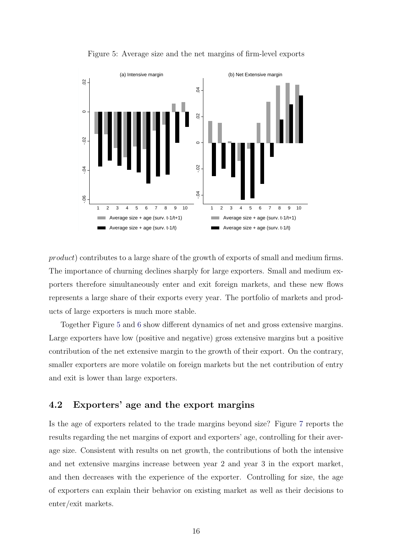

<span id="page-15-0"></span>Figure 5: Average size and the net margins of firm-level exports

product) contributes to a large share of the growth of exports of small and medium firms. The importance of churning declines sharply for large exporters. Small and medium exporters therefore simultaneously enter and exit foreign markets, and these new flows represents a large share of their exports every year. The portfolio of markets and products of large exporters is much more stable.

Together Figure [5](#page-15-0) and [6](#page-16-0) show different dynamics of net and gross extensive margins. Large exporters have low (positive and negative) gross extensive margins but a positive contribution of the net extensive margin to the growth of their export. On the contrary, smaller exporters are more volatile on foreign markets but the net contribution of entry and exit is lower than large exporters.

#### 4.2 Exporters' age and the export margins

Is the age of exporters related to the trade margins beyond size? Figure [7](#page-16-1) reports the results regarding the net margins of export and exporters' age, controlling for their average size. Consistent with results on net growth, the contributions of both the intensive and net extensive margins increase between year 2 and year 3 in the export market, and then decreases with the experience of the exporter. Controlling for size, the age of exporters can explain their behavior on existing market as well as their decisions to enter/exit markets.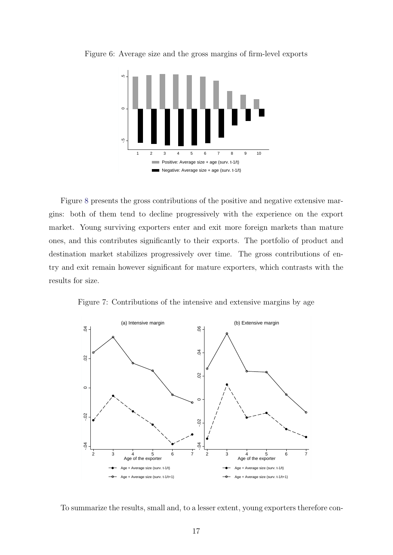<span id="page-16-0"></span>

Figure 6: Average size and the gross margins of firm-level exports

Figure [8](#page-17-0) presents the gross contributions of the positive and negative extensive margins: both of them tend to decline progressively with the experience on the export market. Young surviving exporters enter and exit more foreign markets than mature ones, and this contributes significantly to their exports. The portfolio of product and destination market stabilizes progressively over time. The gross contributions of entry and exit remain however significant for mature exporters, which contrasts with the results for size.

<span id="page-16-1"></span>Figure 7: Contributions of the intensive and extensive margins by age



To summarize the results, small and, to a lesser extent, young exporters therefore con-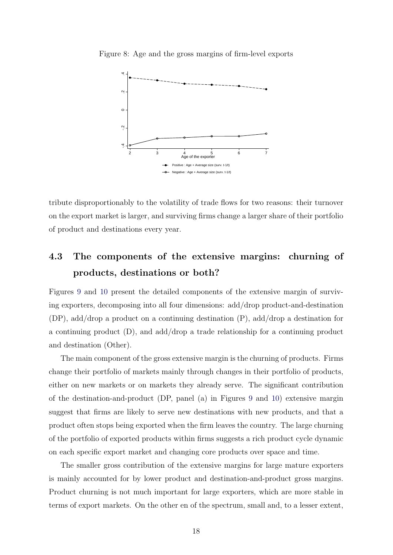<span id="page-17-0"></span>

Figure 8: Age and the gross margins of firm-level exports

tribute disproportionably to the volatility of trade flows for two reasons: their turnover on the export market is larger, and surviving firms change a larger share of their portfolio of product and destinations every year.

## 4.3 The components of the extensive margins: churning of products, destinations or both?

Figures [9](#page-19-0) and [10](#page-19-1) present the detailed components of the extensive margin of surviving exporters, decomposing into all four dimensions: add/drop product-and-destination (DP), add/drop a product on a continuing destination (P), add/drop a destination for a continuing product  $(D)$ , and add/drop a trade relationship for a continuing product and destination (Other).

The main component of the gross extensive margin is the churning of products. Firms change their portfolio of markets mainly through changes in their portfolio of products, either on new markets or on markets they already serve. The significant contribution of the destination-and-product (DP, panel (a) in Figures [9](#page-19-0) and [10\)](#page-19-1) extensive margin suggest that firms are likely to serve new destinations with new products, and that a product often stops being exported when the firm leaves the country. The large churning of the portfolio of exported products within firms suggests a rich product cycle dynamic on each specific export market and changing core products over space and time.

The smaller gross contribution of the extensive margins for large mature exporters is mainly accounted for by lower product and destination-and-product gross margins. Product churning is not much important for large exporters, which are more stable in terms of export markets. On the other en of the spectrum, small and, to a lesser extent,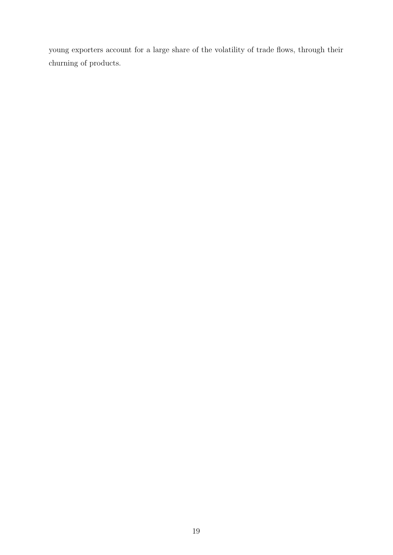young exporters account for a large share of the volatility of trade flows, through their churning of products.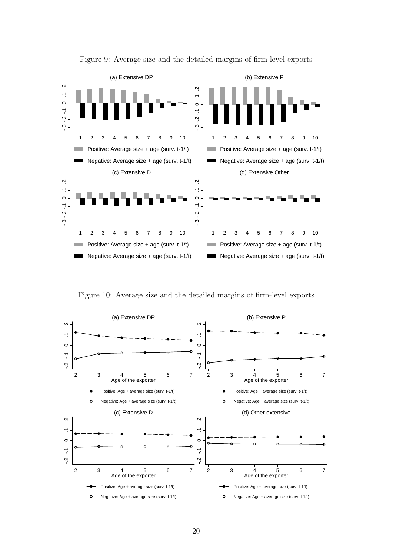

<span id="page-19-0"></span>Figure 9: Average size and the detailed margins of firm-level exports

<span id="page-19-1"></span>Figure 10: Average size and the detailed margins of firm-level exports

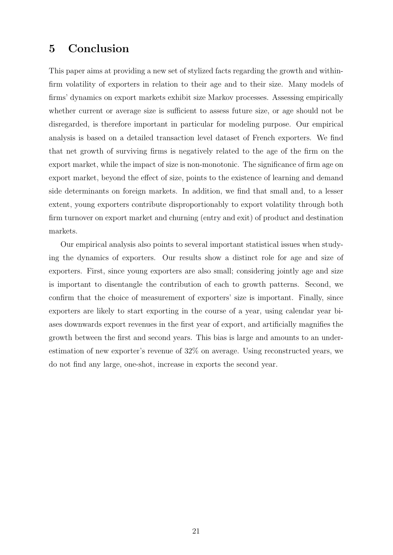### 5 Conclusion

This paper aims at providing a new set of stylized facts regarding the growth and withinfirm volatility of exporters in relation to their age and to their size. Many models of firms' dynamics on export markets exhibit size Markov processes. Assessing empirically whether current or average size is sufficient to assess future size, or age should not be disregarded, is therefore important in particular for modeling purpose. Our empirical analysis is based on a detailed transaction level dataset of French exporters. We find that net growth of surviving firms is negatively related to the age of the firm on the export market, while the impact of size is non-monotonic. The significance of firm age on export market, beyond the effect of size, points to the existence of learning and demand side determinants on foreign markets. In addition, we find that small and, to a lesser extent, young exporters contribute disproportionably to export volatility through both firm turnover on export market and churning (entry and exit) of product and destination markets.

Our empirical analysis also points to several important statistical issues when studying the dynamics of exporters. Our results show a distinct role for age and size of exporters. First, since young exporters are also small; considering jointly age and size is important to disentangle the contribution of each to growth patterns. Second, we confirm that the choice of measurement of exporters' size is important. Finally, since exporters are likely to start exporting in the course of a year, using calendar year biases downwards export revenues in the first year of export, and artificially magnifies the growth between the first and second years. This bias is large and amounts to an underestimation of new exporter's revenue of 32% on average. Using reconstructed years, we do not find any large, one-shot, increase in exports the second year.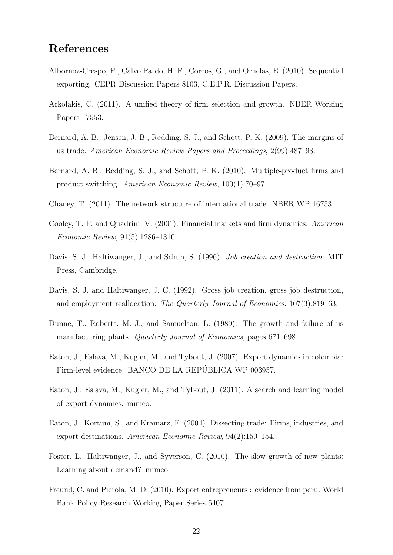### References

- <span id="page-21-10"></span>Albornoz-Crespo, F., Calvo Pardo, H. F., Corcos, G., and Ornelas, E. (2010). Sequential exporting. CEPR Discussion Papers 8103, C.E.P.R. Discussion Papers.
- <span id="page-21-3"></span>Arkolakis, C. (2011). A unified theory of firm selection and growth. NBER Working Papers 17553.
- <span id="page-21-8"></span>Bernard, A. B., Jensen, J. B., Redding, S. J., and Schott, P. K. (2009). The margins of us trade. American Economic Review Papers and Proceedings, 2(99):487–93.
- <span id="page-21-7"></span>Bernard, A. B., Redding, S. J., and Schott, P. K. (2010). Multiple-product firms and product switching. American Economic Review, 100(1):70–97.
- <span id="page-21-11"></span>Chaney, T. (2011). The network structure of international trade. NBER WP 16753.
- <span id="page-21-13"></span>Cooley, T. F. and Quadrini, V. (2001). Financial markets and firm dynamics. American Economic Review, 91(5):1286–1310.
- <span id="page-21-6"></span>Davis, S. J., Haltiwanger, J., and Schuh, S. (1996). Job creation and destruction. MIT Press, Cambridge.
- <span id="page-21-5"></span>Davis, S. J. and Haltiwanger, J. C. (1992). Gross job creation, gross job destruction, and employment reallocation. The Quarterly Journal of Economics, 107(3):819–63.
- <span id="page-21-4"></span>Dunne, T., Roberts, M. J., and Samuelson, L. (1989). The growth and failure of us manufacturing plants. *Quarterly Journal of Economics*, pages 671–698.
- <span id="page-21-1"></span>Eaton, J., Eslava, M., Kugler, M., and Tybout, J. (2007). Export dynamics in colombia: Firm-level evidence. BANCO DE LA REPÚBLICA WP 003957.
- <span id="page-21-12"></span>Eaton, J., Eslava, M., Kugler, M., and Tybout, J. (2011). A search and learning model of export dynamics. mimeo.
- <span id="page-21-0"></span>Eaton, J., Kortum, S., and Kramarz, F. (2004). Dissecting trade: Firms, industries, and export destinations. American Economic Review, 94(2):150–154.
- <span id="page-21-9"></span>Foster, L., Haltiwanger, J., and Syverson, C. (2010). The slow growth of new plants: Learning about demand? mimeo.
- <span id="page-21-2"></span>Freund, C. and Pierola, M. D. (2010). Export entrepreneurs : evidence from peru. World Bank Policy Research Working Paper Series 5407.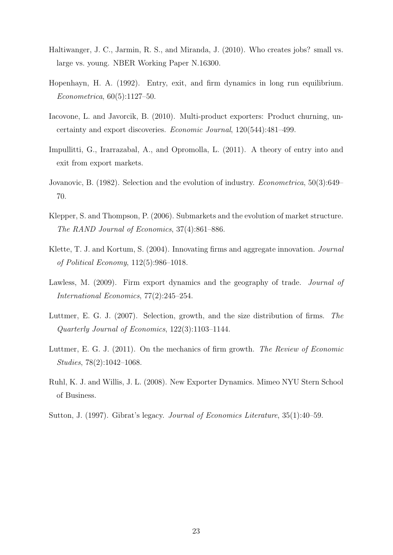- <span id="page-22-2"></span>Haltiwanger, J. C., Jarmin, R. S., and Miranda, J. (2010). Who creates jobs? small vs. large vs. young. NBER Working Paper N.16300.
- <span id="page-22-6"></span>Hopenhayn, H. A. (1992). Entry, exit, and firm dynamics in long run equilibrium. Econometrica, 60(5):1127–50.
- <span id="page-22-3"></span>Iacovone, L. and Javorcik, B. (2010). Multi-product exporters: Product churning, uncertainty and export discoveries. Economic Journal, 120(544):481–499.
- <span id="page-22-8"></span>Impullitti, G., Irarrazabal, A., and Opromolla, L. (2011). A theory of entry into and exit from export markets.
- <span id="page-22-5"></span>Jovanovic, B. (1982). Selection and the evolution of industry. Econometrica, 50(3):649– 70.
- <span id="page-22-11"></span>Klepper, S. and Thompson, P. (2006). Submarkets and the evolution of market structure. The RAND Journal of Economics, 37(4):861–886.
- <span id="page-22-9"></span>Klette, T. J. and Kortum, S. (2004). Innovating firms and aggregate innovation. *Journal* of Political Economy, 112(5):986–1018.
- <span id="page-22-4"></span>Lawless, M. (2009). Firm export dynamics and the geography of trade. *Journal of* International Economics, 77(2):245–254.
- <span id="page-22-0"></span>Luttmer, E. G. J. (2007). Selection, growth, and the size distribution of firms. The Quarterly Journal of Economics, 122(3):1103–1144.
- <span id="page-22-7"></span>Luttmer, E. G. J. (2011). On the mechanics of firm growth. The Review of Economic Studies, 78(2):1042–1068.
- <span id="page-22-10"></span>Ruhl, K. J. and Willis, J. L. (2008). New Exporter Dynamics. Mimeo NYU Stern School of Business.
- <span id="page-22-1"></span>Sutton, J. (1997). Gibrat's legacy. Journal of Economics Literature, 35(1):40–59.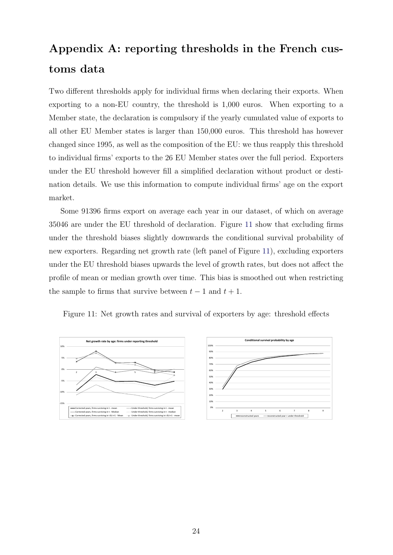# Appendix A: reporting thresholds in the French customs data

Two different thresholds apply for individual firms when declaring their exports. When exporting to a non-EU country, the threshold is 1,000 euros. When exporting to a Member state, the declaration is compulsory if the yearly cumulated value of exports to all other EU Member states is larger than 150,000 euros. This threshold has however changed since 1995, as well as the composition of the EU: we thus reapply this threshold to individual firms' exports to the 26 EU Member states over the full period. Exporters under the EU threshold however fill a simplified declaration without product or destination details. We use this information to compute individual firms' age on the export market.

Some 91396 firms export on average each year in our dataset, of which on average 35046 are under the EU threshold of declaration. Figure [11](#page-23-0) show that excluding firms under the threshold biases slightly downwards the conditional survival probability of new exporters. Regarding net growth rate (left panel of Figure [11\)](#page-23-0), excluding exporters under the EU threshold biases upwards the level of growth rates, but does not affect the profile of mean or median growth over time. This bias is smoothed out when restricting the sample to firms that survive between  $t - 1$  and  $t + 1$ .

<span id="page-23-0"></span>Figure 11: Net growth rates and survival of exporters by age: threshold effects



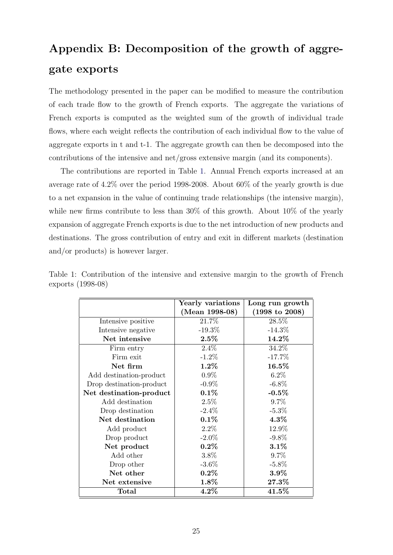# Appendix B: Decomposition of the growth of aggregate exports

The methodology presented in the paper can be modified to measure the contribution of each trade flow to the growth of French exports. The aggregate the variations of French exports is computed as the weighted sum of the growth of individual trade flows, where each weight reflects the contribution of each individual flow to the value of aggregate exports in t and t-1. The aggregate growth can then be decomposed into the contributions of the intensive and net/gross extensive margin (and its components).

The contributions are reported in Table [1.](#page-24-0) Annual French exports increased at an average rate of 4.2% over the period 1998-2008. About 60% of the yearly growth is due to a net expansion in the value of continuing trade relationships (the intensive margin), while new firms contribute to less than 30% of this growth. About 10% of the yearly expansion of aggregate French exports is due to the net introduction of new products and destinations. The gross contribution of entry and exit in different markets (destination and/or products) is however larger.

<span id="page-24-0"></span>

|                          | Yearly variations | Long run growth           |
|--------------------------|-------------------|---------------------------|
|                          | (Mean 1998-08)    | $(1998 \text{ to } 2008)$ |
| Intensive positive       | 21.7%             | 28.5%                     |
| Intensive negative       | $-19.3\%$         | $-14.3\%$                 |
| Net intensive            | $2.5\%$           | 14.2%                     |
| Firm entry               | $2.4\%$           | 34.2%                     |
| Firm exit                | $-1.2\%$          | $-17.7\%$                 |
| Net firm                 | $1.2\%$           | 16.5%                     |
| Add destination-product  | $0.9\%$           | $6.2\%$                   |
| Drop destination-product | $-0.9\%$          | $-6.8\%$                  |
| Net destination-product  | $0.1\%$           | $-0.5\%$                  |
| Add destination          | 2.5%              | 9.7%                      |
| Drop destination         | $-2.4\%$          | $-5.3\%$                  |
| Net destination          | $0.1\%$           | $4.3\%$                   |
| Add product              | $2.2\%$           | 12.9%                     |
| Drop product             | $-2.0\%$          | $-9.8\%$                  |
| Net product              | $0.2\%$           | $3.1\%$                   |
| Add other                | 3.8%              | $9.7\%$                   |
| Drop other               | $-3.6\%$          | $-5.8\%$                  |
| Net other                | $0.2\%$           | $3.9\%$                   |
| Net extensive            | 1.8%              | 27.3%                     |
| Total                    | $4.2\%$           | 41.5%                     |

Table 1: Contribution of the intensive and extensive margin to the growth of French exports (1998-08)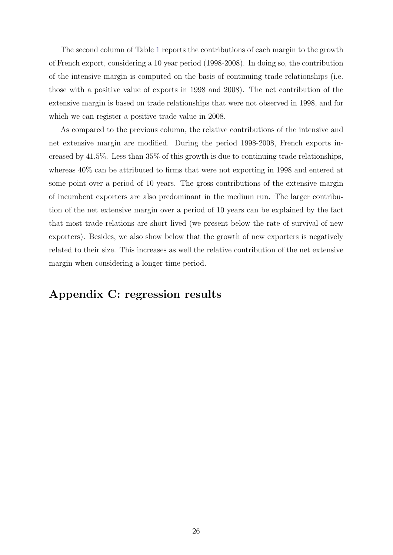The second column of Table [1](#page-24-0) reports the contributions of each margin to the growth of French export, considering a 10 year period (1998-2008). In doing so, the contribution of the intensive margin is computed on the basis of continuing trade relationships (i.e. those with a positive value of exports in 1998 and 2008). The net contribution of the extensive margin is based on trade relationships that were not observed in 1998, and for which we can register a positive trade value in 2008.

As compared to the previous column, the relative contributions of the intensive and net extensive margin are modified. During the period 1998-2008, French exports increased by 41.5%. Less than 35% of this growth is due to continuing trade relationships, whereas 40% can be attributed to firms that were not exporting in 1998 and entered at some point over a period of 10 years. The gross contributions of the extensive margin of incumbent exporters are also predominant in the medium run. The larger contribution of the net extensive margin over a period of 10 years can be explained by the fact that most trade relations are short lived (we present below the rate of survival of new exporters). Besides, we also show below that the growth of new exporters is negatively related to their size. This increases as well the relative contribution of the net extensive margin when considering a longer time period.

## Appendix C: regression results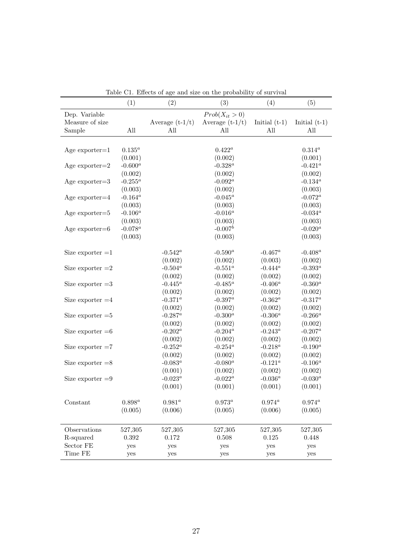|                    | (1)         | (2)               | (3)                | (4)             | (5)               |
|--------------------|-------------|-------------------|--------------------|-----------------|-------------------|
| Dep. Variable      |             |                   | $Prob(X_{it} > 0)$ |                 |                   |
| Measure of size    |             | Average $(t-1/t)$ | Average $(t-1/t)$  | Initial $(t-1)$ | Initial $(t-1)$   |
| Sample             | All         | All               | All                | All             | All               |
|                    |             |                   |                    |                 |                   |
| Age $exporter=1$   | $0.135^{a}$ |                   | $0.422^a$          |                 | $0.314^a$         |
|                    | (0.001)     |                   | (0.002)            |                 | (0.001)           |
| Age exporter= $2$  | $-0.600^a$  |                   | $-0.328^a$         |                 | $-0.421^a$        |
|                    | (0.002)     |                   | (0.002)            |                 | (0.002)           |
| Age exporter= $3$  | -0.255 $^a$ |                   | -0.092 $^a$        |                 | -0.134 $^a$       |
|                    | (0.003)     |                   | (0.002)            |                 | (0.003)           |
| Age exporter $=4$  | -0.164 $^a$ |                   | -0.045 $^a$        |                 | $\text{-}0.072^a$ |
|                    | (0.003)     |                   | (0.003)            |                 | (0.003)           |
| Age exporter= $5$  | $-0.106^a$  |                   | $-0.016^a$         |                 | $-0.034^a$        |
|                    | (0.003)     |                   | (0.003)            |                 | (0.003)           |
| Age exporter= $6$  | $-0.078^a$  |                   | $-0.007^b$         |                 | $-0.020^{a}$      |
|                    | (0.003)     |                   | (0.003)            |                 | (0.003)           |
|                    |             |                   |                    |                 |                   |
| Size exporter $=1$ |             | $-0.542^a$        | $-0.590^a$         | $-0.467^a$      | $-0.408^a$        |
|                    |             | (0.002)           | (0.002)            | (0.003)         | (0.002)           |
| Size exporter $=2$ |             | $-0.504^a$        | -0.551 $^a$        | $-0.444^a$      | $-0.393^{a}$      |
|                    |             | (0.002)           | (0.002)            | (0.002)         | (0.002)           |
| Size exporter $=3$ |             | -0.445 $^a$       | -0.485 $^a$        | $-0.406^a$      | $-0.360^a$        |
|                    |             | (0.002)           | (0.002)            | (0.002)         | (0.002)           |
| Size exporter $=4$ |             | $-0.371^{a}$      | -0.397 $^a$        | -0.362 $^a$     | $\text{-}0.317^a$ |
|                    |             | (0.002)           | (0.002)            | (0.002)         | (0.002)           |
| Size exporter $=5$ |             | $-0.287^a$        | $-0.300^a$         | $-0.306^a$      | $-0.266^a$        |
|                    |             | (0.002)           | (0.002)            | (0.002)         | (0.002)           |
| Size exporter $=6$ |             | $-0.202^a$        | -0.204 $^a$        | $-0.243^a$      | $-0.207^a$        |
|                    |             | (0.002)           | (0.002)            | (0.002)         | (0.002)           |
| Size exporter $=7$ |             | $-0.252^a$        | -0.254 $^a$        | -0.218 $^a$     | $\text{-}0.190^a$ |
|                    |             | (0.002)           | (0.002)            | (0.002)         | (0.002)           |
| Size exporter $=8$ |             | -0.083 $^a$       | -0.080 $^a$        | $-0.121^{a}$    | $-0.106^a$        |
|                    |             | (0.001)           | (0.002)            | (0.002)         | (0.002)           |
| Size exporter $=9$ |             | $-0.023^a$        | $-0.022^a$         | -0.036 $^a$     | $-0.030^{a}$      |
|                    |             | (0.001)           | (0.001)            | (0.001)         | (0.001)           |
|                    |             |                   |                    |                 |                   |
| Constant           | $0.898^a$   | $0.981^{a}$       | $0.973^a$          | $0.974^a$       | $0.974^a$         |
|                    | (0.005)     | (0.006)           | (0.005)            | (0.006)         | (0.005)           |
|                    |             |                   |                    |                 |                   |
| Observations       | 527,305     | 527,305           | 527,305            | 527,305         | 527,305           |
| R-squared          | 0.392       | 0.172             | 0.508              | 0.125           | 0.448             |
| Sector FE          | yes         | yes               | yes                | yes             | yes               |
| Time FE            | yes         | yes               | yes                | yes             | yes               |
|                    |             |                   |                    |                 |                   |

Table C1. Effects of age and size on the probability of survival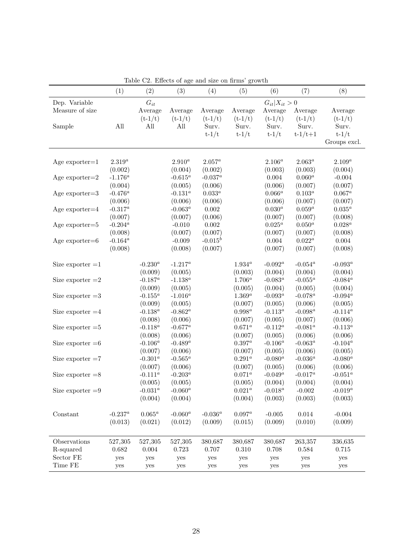|                    | (1)         | (2)          | (3)               | (4)         | (5)       | (6)         | (7)               | (8)          |  |  |
|--------------------|-------------|--------------|-------------------|-------------|-----------|-------------|-------------------|--------------|--|--|
| Dep. Variable      |             | $G_{it}$     |                   |             |           |             | $G_{it} X_{it}>0$ |              |  |  |
| Measure of size    |             | Average      | Average           | Average     | Average   | Average     | Average           | Average      |  |  |
|                    |             | $(t-1/t)$    | $(t-1/t)$         | $(t - 1/t)$ | $(t-1/t)$ | $(t-1/t)$   | $(t - 1/t)$       | $(t - 1/t)$  |  |  |
| Sample             | All         | All          | All               | Surv.       | Surv.     | Surv.       | Surv.             | Surv.        |  |  |
|                    |             |              |                   | $t-1/t$     | $t-1/t$   | $t-1/t$     | $t - 1/t + 1$     | $t-1/t$      |  |  |
|                    |             |              |                   |             |           |             |                   | Groups excl. |  |  |
|                    |             |              |                   |             |           |             |                   |              |  |  |
| Age $exporter=1$   | $2.319^a$   |              | $2.910^a$         | $2.057^a$   |           | $2.106^a$   | $2.063^a$         | $2.109^a$    |  |  |
|                    | (0.002)     |              | (0.004)           | (0.002)     |           | (0.003)     | (0.003)           | (0.004)      |  |  |
| Age exporter= $2$  | $-1.176^a$  |              | -0.615 $^a$       | $-0.037^a$  |           | 0.004       | $0.060^a$         | $-0.004$     |  |  |
|                    | (0.004)     |              | (0.005)           | (0.006)     |           | (0.006)     | (0.007)           | (0.007)      |  |  |
| Age exporter= $3$  | -0.476 $^a$ |              | -0.131 $^a$       | $0.033^a$   |           | $0.066^a$   | $0.103^a$         | $0.067^a$    |  |  |
|                    | (0.006)     |              | (0.006)           | (0.006)     |           | (0.006)     | (0.007)           | (0.007)      |  |  |
| Age exporter $=4$  | $-0.317^a$  |              | -0.063 $^a$       | 0.002       |           | $0.030^a$   | $0.059^a$         | $0.035^a$    |  |  |
|                    | (0.007)     |              | (0.007)           | (0.006)     |           | (0.007)     | (0.007)           | (0.008)      |  |  |
| Age exporter= $5$  | $-0.204^a$  |              | $-0.010$          | 0.002       |           | $0.025^a$   | $0.050^a$         | $0.028^a$    |  |  |
|                    | (0.008)     |              | (0.007)           | (0.007)     |           | (0.007)     | (0.007)           | (0.008)      |  |  |
| Age exporter= $6$  | $-0.164^a$  |              | $-0.009$          | $-0.015^b$  |           | 0.004       | $0.022^a$         | 0.004        |  |  |
|                    | (0.008)     |              | (0.008)           | (0.007)     |           | (0.007)     | (0.007)           | (0.008)      |  |  |
| Size exporter $=1$ |             | $-0.230^{a}$ | $-1.217^a$        |             | $1.934^a$ | $-0.092^a$  | $-0.054^a$        | $-0.093^a$   |  |  |
|                    |             | (0.009)      | (0.005)           |             | (0.003)   | (0.004)     | (0.004)           | (0.004)      |  |  |
| Size exporter $=2$ |             | -0.187 $^a$  | $\text{-}1.138^a$ |             | $1.706^a$ | -0.083 $^a$ | -0.055 $^a$       | -0.084 $^a$  |  |  |
|                    |             | (0.009)      | (0.005)           |             | (0.005)   | (0.004)     | (0.005)           | (0.004)      |  |  |
| Size exporter $=3$ |             | -0.155 $^a$  | $\text{-}1.016^a$ |             | $1.369^a$ | -0.093 $^a$ | -0.078 $^a$       | -0.094 $^a$  |  |  |
|                    |             | (0.009)      | (0.005)           |             | (0.007)   | (0.005)     | (0.006)           | (0.005)      |  |  |
| Size exporter $=4$ |             | -0.138 $^a$  | -0.862 $^a$       |             | $0.998^a$ | $-0.113^a$  | $-0.098^a$        | $-0.114^a$   |  |  |
|                    |             | (0.008)      | (0.006)           |             | (0.007)   | (0.005)     | (0.007)           | (0.006)      |  |  |
| Size exporter $=5$ |             | -0.118 $^a$  | $-0.677^a$        |             | $0.671^a$ | $-0.112^a$  | $-0.081^a$        | $-0.113^a$   |  |  |
|                    |             | (0.008)      | (0.006)           |             | (0.007)   | (0.005)     | (0.006)           | (0.006)      |  |  |
| Size exporter $=6$ |             | $-0.106^a$   | -0.489 $^a$       |             | $0.397^a$ | $-0.106^a$  | $-0.063^a$        | $-0.104^a$   |  |  |
|                    |             | (0.007)      | (0.006)           |             | (0.007)   | (0.005)     | (0.006)           | (0.005)      |  |  |
| Size exporter $=7$ |             | -0.301 $^a$  | -0.565 $^a$       |             | $0.291^a$ | $-0.080^a$  | -0.036 $^a$       | $-0.080^{a}$ |  |  |
|                    |             | (0.007)      | (0.006)           |             | (0.007)   | (0.005)     | (0.006)           | (0.006)      |  |  |
| Size exporter $=8$ |             | $-0.111^a$   | $-0.203^a$        |             | $0.071^a$ | $-0.049^a$  | $-0.017^a$        | $-0.051^a$   |  |  |
|                    |             | (0.005)      | (0.005)           |             | (0.005)   | (0.004)     | (0.004)           | (0.004)      |  |  |
| Size exporter $=9$ |             | -0.031 $^a$  | $-0.060^a$        |             | $0.021^a$ | $-0.018^a$  | $-0.002$          | $-0.019^a$   |  |  |
|                    |             | (0.004)      | (0.004)           |             | (0.004)   | (0.003)     | (0.003)           | (0.003)      |  |  |
|                    |             |              |                   |             |           |             |                   |              |  |  |
| Constant           | $-0.237^a$  | $0.065^a$    | -0.060 $^a$       | -0.036 $^a$ | $0.097^a$ | $-0.005$    | $0.014\,$         | $-0.004$     |  |  |
|                    | (0.013)     | (0.021)      | (0.012)           | (0.009)     | (0.015)   | (0.009)     | (0.010)           | (0.009)      |  |  |
|                    |             |              |                   |             |           |             |                   |              |  |  |
| Observations       | 527,305     | 527,305      | 527,305           | 380,687     | 380,687   | 380,687     | 263,357           | 336,635      |  |  |
| R-squared          | 0.682       | 0.004        | 0.723             | 0.707       | 0.310     | 0.708       | 0.584             | 0.715        |  |  |
| Sector FE          | yes         | yes          | yes               | yes         | yes       | yes         | yes               | yes          |  |  |
| Time FE            | yes         | yes          | yes               | yes         | yes       | yes         | yes               | yes          |  |  |

Table C2. Effects of age and size on firms' growth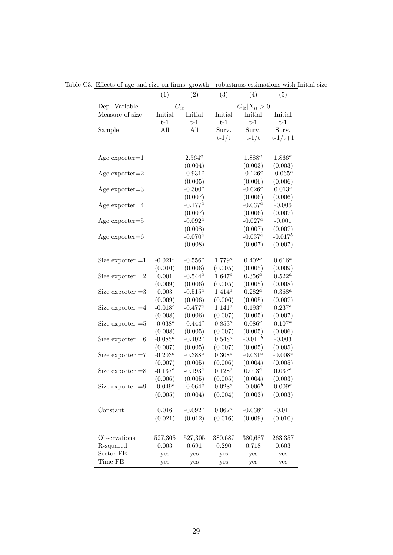|                       | (1)         | (2)               | (3)               | (4)          | (5)           |
|-----------------------|-------------|-------------------|-------------------|--------------|---------------|
| Dep. Variable         |             | $G_{it}$          | $G_{it} X_{it}>0$ |              |               |
| Measure of size       | Initial     | Initial           | Initial           | Initial      | Initial       |
|                       | $t-1$       | $t-1$             | $t-1$             | $t-1$        | $t-1$         |
| Sample                | All         | All               | Surv.             | Surv.        | Surv.         |
|                       |             |                   | $t-1/t$           | $t-1/t$      | $t - 1/t + 1$ |
|                       |             |                   |                   |              |               |
| Age $\exp{orter} = 1$ |             | $2.564^a$         |                   | $1.888^{a}$  | $1.866^a$     |
|                       |             | (0.004)           |                   | (0.003)      | (0.003)       |
| Age $\exp{orter} = 2$ |             | $-0.931^{a}$      |                   | $-0.126^a$   | $-0.065^a$    |
|                       |             | (0.005)           |                   | (0.006)      | (0.006)       |
| Age $\exp{ot}$        |             | $-0.300^a$        |                   | $-0.026^a$   | $0.013^b$     |
|                       |             | (0.007)           |                   | (0.006)      | (0.006)       |
| Age $exporter=4$      |             | $\text{-}0.177^a$ |                   | -0.037 $^a$  | $-0.006$      |
|                       |             | (0.007)           |                   | (0.006)      | (0.007)       |
| Age $\exp{ot}$        |             | $-0.092^a$        |                   | -0.027 $^a$  | $-0.001$      |
|                       |             | (0.008)           |                   | (0.007)      | (0.007)       |
| Age $exporter=6$      |             | $-0.070^{a}$      |                   | $-0.037^a$   | $-0.017^b$    |
|                       |             | (0.008)           |                   | (0.007)      | (0.007)       |
| Size exporter $=1$    | $-0.021^b$  | $-0.556^a$        | $1.779^a$         | $0.402^a$    | $0.616^a$     |
|                       | (0.010)     | (0.006)           | (0.005)           | (0.005)      | (0.009)       |
| Size exporter $=2$    | 0.001       | $-0.544^a$        | $1.647^a$         | $0.356^a\,$  | $0.522^a$     |
|                       | (0.009)     | (0.006)           | (0.005)           | (0.005)      | (0.008)       |
| Size exporter $=3$    | 0.003       | $-0.515^a$        | $1.414^a$         | $0.282^a$    | $0.368^a$     |
|                       | (0.009)     | (0.006)           | (0.006)           | (0.005)      | (0.007)       |
| Size exporter $=4$    | $-0.018^b$  | $-0.477^a$        | $1.141^{a}$       | $0.193^a$    | $0.237^a$     |
|                       | (0.008)     | (0.006)           | (0.007)           | (0.005)      | (0.007)       |
| Size exporter $=5$    | $-0.038^a$  | $-0.444^a$        | $0.853^a$         | $0.086^a$    | $0.107^a$     |
|                       | (0.008)     | (0.005)           | (0.007)           | (0.005)      | (0.006)       |
| Size exporter $=6$    | -0.085 $^a$ | $-0.402^a$        | $0.548^a$         | $-0.011^b$   | $-0.003$      |
|                       | (0.007)     | (0.005)           | (0.007)           | (0.005)      | (0.005)       |
| Size exporter $=7$    | $-0.203^a$  | -0.388 $^a$       | $0.308^a$         | $-0.031^{a}$ | $-0.008c$     |
|                       | (0.007)     | (0.005)           | (0.006)           | (0.004)      | (0.005)       |
| Size exporter $=8$    | $-0.137^a$  | $-0.193^a$        | $0.128^a$         | $0.013^a\,$  | $0.037^a$     |
|                       | (0.006)     | (0.005)           | (0.005)           | (0.004)      | (0.003)       |
| Size exporter $=9$    | $-0.049^a$  | -0.064 $^a$       | $0.028^a$         | $-0.006^b$   | $0.009^a$     |
|                       | (0.005)     | (0.004)           | (0.004)           | (0.003)      | (0.003)       |
| Constant              | 0.016       | -0.092 $^a$       | $0.062^a$         | -0.038 $^a$  | $-0.011$      |
|                       | (0.021)     | (0.012)           | (0.016)           | (0.009)      | (0.010)       |
|                       |             |                   |                   |              |               |
| Observations          | 527,305     | 527,305           | 380,687           | 380,687      | 263,357       |
| R-squared             | 0.003       | 0.691             | 0.290             | 0.718        | 0.603         |
| Sector FE             | yes         | yes               | yes               | yes          | yes           |
| Time FE               | yes         | yes               | yes               | yes          | yes           |

Table C3. Effects of age and size on firms' growth - robustness estimations with Initial size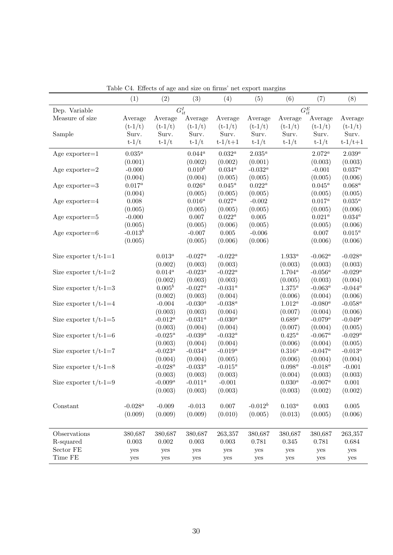|                         | (1)                      | (2)         | (3)          | (4)           | (5)         | (6)         | (7)         | (8)           |
|-------------------------|--------------------------|-------------|--------------|---------------|-------------|-------------|-------------|---------------|
| Dep. Variable           | $G^I_{it}$<br>$G_{it}^E$ |             |              |               |             |             |             |               |
| Measure of size         | Average                  | Average     | Average      | Average       | Average     | Average     | Average     | Average       |
|                         | $(t - 1/t)$              | $(t - 1/t)$ | $(t - 1/t)$  | $(t - 1/t)$   | $(t - 1/t)$ | $(t - 1/t)$ | $(t-1/t)$   | $(t - 1/t)$   |
| Sample                  | Surv.                    | Surv.       | Surv.        | Surv.         | Surv.       | Surv.       | Surv.       | Surv.         |
|                         | $t-1/t$                  | $t-1/t$     | $t-1/t$      | $t - 1/t + 1$ | $t-1/t$     | $t-1/t$     | $t-1/t$     | $t - 1/t + 1$ |
| Age $exporter=1$        | $0.035^a$                |             | $0.044^a$    | $0.032^a$     | $2.035^a$   |             | $2.072^a$   | $2.039^a$     |
|                         | (0.001)                  |             | (0.002)      | (0.002)       | (0.001)     |             | (0.003)     | (0.003)       |
| Age exporter= $2$       | $-0.000$                 |             | $0.010^{b}$  | $0.034^a$     | -0.032 $^a$ |             | $-0.001$    | $0.037^a$     |
|                         | (0.004)                  |             | (0.004)      | (0.005)       | (0.005)     |             | (0.005)     | (0.006)       |
| Age $exporter=3$        | $0.017^a$                |             | $0.026^a$    | $0.045^a$     | $0.022^a$   |             | $0.045^a$   | $0.068^a$     |
|                         | (0.004)                  |             | (0.005)      | (0.005)       | (0.005)     |             | (0.005)     | (0.005)       |
| Age exporter= $4$       | 0.008                    |             | $0.016^a$    | $0.027^a$     | $-0.002$    |             | $0.017^a$   | $0.035^a$     |
|                         | (0.005)                  |             | (0.005)      | (0.005)       | (0.005)     |             | (0.005)     | (0.006)       |
| Age $exporter=5$        | $-0.000$                 |             | $0.007\,$    | $0.022^a$     | 0.005       |             | $0.021^{a}$ | $0.034^a$     |
|                         | (0.005)                  |             | (0.005)      | (0.006)       | (0.005)     |             | (0.005)     | (0.006)       |
| Age $exporter=6$        | $-0.013^b$               |             | $-0.007$     | $0.005\,$     | $-0.006$    |             | 0.007       | $0.015^a$     |
|                         | (0.005)                  |             | (0.005)      | (0.006)       | (0.006)     |             | (0.006)     | (0.006)       |
| Size exporter $t/t-1=1$ |                          | $0.013^a$   | $-0.027^a$   | $-0.022^a$    |             | $1.933^a$   | $-0.062^a$  | $-0.028^a$    |
|                         |                          | (0.002)     | (0.003)      | (0.003)       |             | (0.003)     | (0.003)     | (0.003)       |
| Size exporter $t/t-1=2$ |                          | $0.014^a$   | -0.023 $^a$  | $-0.022^a$    |             | $1.704^{a}$ | -0.056 $^a$ | $-0.029^a$    |
|                         |                          | (0.002)     | (0.003)      | (0.003)       |             | (0.005)     | (0.003)     | (0.004)       |
| Size exporter $t/t-1=3$ |                          | $0.005^b$   | $-0.027^a$   | -0.031 $^a$   |             | $1.375^a$   | $-0.063^a$  | $-0.044^a$    |
|                         |                          | (0.002)     | (0.003)      | (0.004)       |             | (0.006)     | (0.004)     | (0.006)       |
| Size exporter $t/t-1=4$ |                          | $-0.004$    | -0.030 $^a$  | -0.038 $^a$   |             | $1.012^a$   | -0.080 $^a$ | -0.058 $^a$   |
|                         |                          | (0.003)     | (0.003)      | (0.004)       |             | (0.007)     | (0.004)     | (0.006)       |
| Size exporter $t/t-1=5$ |                          | $-0.012^a$  | $-0.031^{a}$ | -0.030 $^a$   |             | $0.689^a$   | $-0.079^a$  | $-0.049^a$    |
|                         |                          | (0.003)     | (0.004)      | (0.004)       |             | (0.007)     | (0.004)     | (0.005)       |
| Size exporter $t/t-1=6$ |                          | $-0.025^a$  | $-0.039^a$   | -0.032 $^a$   |             | $0.425^a$   | $-0.067^a$  | -0.029 $^a$   |
|                         |                          | (0.003)     | (0.004)      | (0.004)       |             | (0.006)     | (0.004)     | (0.005)       |
| Size exporter $t/t-1=7$ |                          | $-0.023^a$  | $-0.034^a$   | $-0.019^a$    |             | $0.316^a$   | $-0.047^a$  | -0.013 $^a$   |
|                         |                          | (0.004)     | (0.004)      | (0.005)       |             | (0.006)     | (0.004)     | (0.004)       |
| Size exporter $t/t-1=8$ |                          | $-0.028^a$  | -0.033 $^a$  | -0.015 $^a$   |             | $0.098^a$   | -0.018 $^a$ | $-0.001$      |
|                         |                          | (0.003)     | (0.003)      | (0.003)       |             | (0.004)     | (0.003)     | (0.003)       |
| Size exporter $t/t-1=9$ |                          | $-0.009^a$  | $-0.011^a$   | $-0.001$      |             | $0.030^a$   | $-0.007^a$  | 0.001         |
|                         |                          | (0.003)     | (0.003)      | (0.003)       |             | (0.003)     | (0.002)     | (0.002)       |
| Constant                | -0.028 $^a$              | $-0.009$    | $-0.013$     | 0.007         | $-0.012^b$  | $0.103^a$   | $0.003\,$   | $0.005\,$     |
|                         | (0.009)                  | (0.009)     | (0.009)      | (0.010)       | (0.005)     | (0.013)     | (0.005)     | (0.006)       |
|                         |                          |             |              |               |             |             |             |               |
| Observations            | 380,687                  | 380,687     | 380,687      | 263,357       | 380,687     | 380,687     | 380,687     | 263,357       |
| R-squared               | 0.003                    | 0.002       | 0.003        | 0.003         | 0.781       | 0.345       | 0.781       | 0.684         |
| Sector $\rm FE$         | yes                      | yes         | yes          | yes           | yes         | yes         | yes         | yes           |
| Time FE                 | yes                      | yes         | yes          | yes           | yes         | ${\rm yes}$ | yes         | yes           |

Table C4. Effects of age and size on firms' net export margins